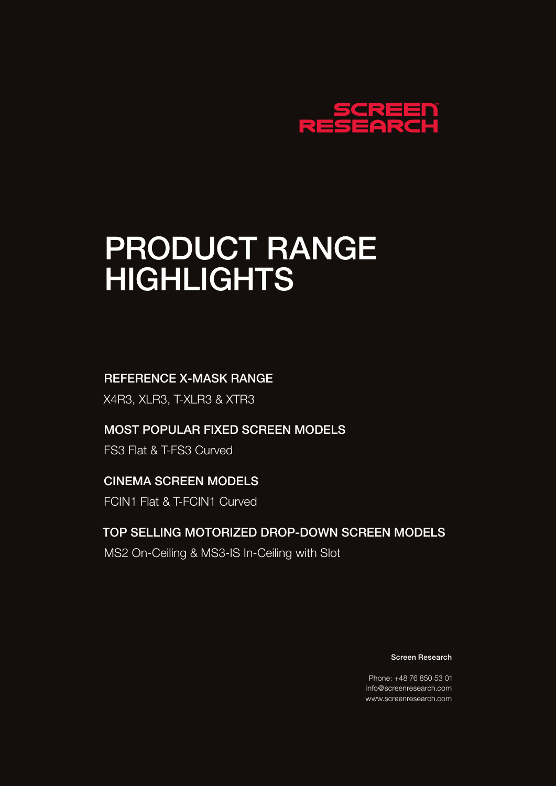

# PRODUCT RANGE HIGHLIGHTS

#### REFERENCE X-MASK RANGE

X4R3, XLR3, T-XLR3 & XTR3

#### MOST POPULAR FIXED SCREEN MODELS

FS3 Flat & T-FS3 Curved

### CINEMA SCREEN MODELS

FCIN1 Flat & T-FCIN1 Curved

### TOP SELLING MOTORIZED DROP-DOWN SCREEN MODELS

MS2 On-Ceiling & MS3-IS In-Ceiling with Slot

Screen Research

Phone: +48 76 850 53 01 info@screenresearch.com www.screenresearch.com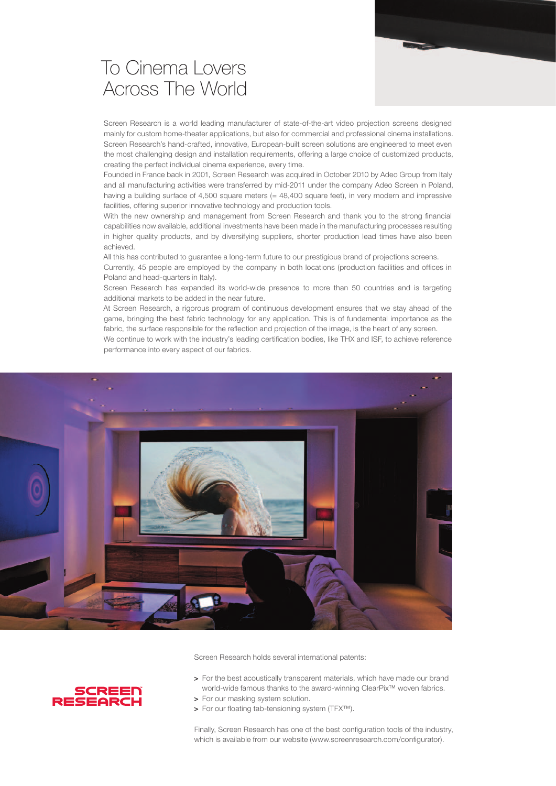### To Cinema Lovers Across The World

Screen Research is a world leading manufacturer of state-of-the-art video projection screens designed mainly for custom home-theater applications, but also for commercial and professional cinema installations. Screen Research's hand-crafted, innovative, European-built screen solutions are engineered to meet even the most challenging design and installation requirements, offering a large choice of customized products, creating the perfect individual cinema experience, every time.

Founded in France back in 2001, Screen Research was acquired in October 2010 by Adeo Group from Italy and all manufacturing activities were transferred by mid-2011 under the company Adeo Screen in Poland, having a building surface of 4,500 square meters (= 48,400 square feet), in very modern and impressive facilities, offering superior innovative technology and production tools.

With the new ownership and management from Screen Research and thank you to the strong financial capabilities now available, additional investments have been made in the manufacturing processes resulting in higher quality products, and by diversifying suppliers, shorter production lead times have also been achieved.

All this has contributed to guarantee a long-term future to our prestigious brand of projections screens. Currently, 45 people are employed by the company in both locations (production facilities and offices in Poland and head-quarters in Italy).

Screen Research has expanded its world-wide presence to more than 50 countries and is targeting additional markets to be added in the near future.

At Screen Research, a rigorous program of continuous development ensures that we stay ahead of the game, bringing the best fabric technology for any application. This is of fundamental importance as the fabric, the surface responsible for the reflection and projection of the image, is the heart of any screen.

We continue to work with the industry's leading certification bodies, like THX and ISF, to achieve reference performance into every aspect of our fabrics.



Screen Research holds several international patents:



- > For the best acoustically transparent materials, which have made our brand world-wide famous thanks to the award-winning ClearPix™ woven fabrics.
- > For our masking system solution.
- > For our floating tab-tensioning system (TFX™).

Finally, Screen Research has one of the best configuration tools of the industry, which is available from our website (www.screenresearch.com/configurator).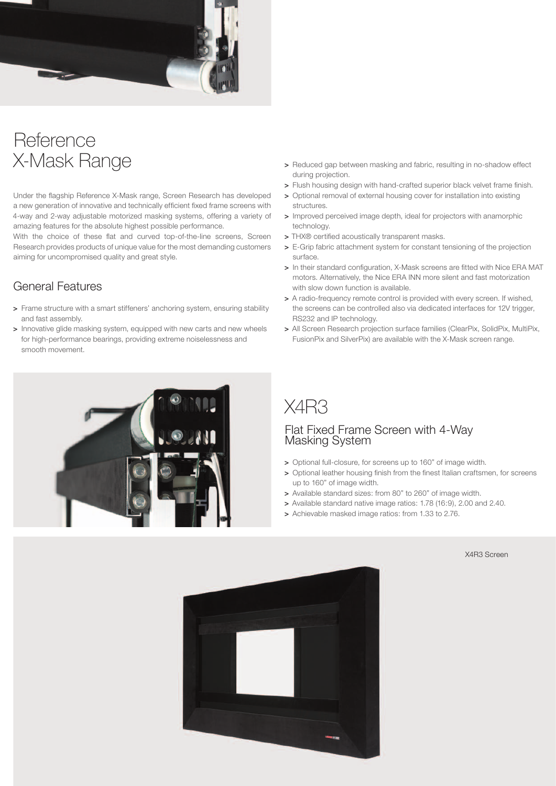

### **Reference** X-Mask Range

Under the flagship Reference X-Mask range, Screen Research has developed a new generation of innovative and technically efficient fixed frame screens with 4-way and 2-way adjustable motorized masking systems, offering a variety of amazing features for the absolute highest possible performance.

With the choice of these flat and curved top-of-the-line screens, Screen Research provides products of unique value for the most demanding customers aiming for uncompromised quality and great style.

#### General Features

- > Frame structure with a smart stiffeners' anchoring system, ensuring stability and fast assembly.
- > Innovative glide masking system, equipped with new carts and new wheels for high-performance bearings, providing extreme noiselessness and smooth movement.
	-
- > Reduced gap between masking and fabric, resulting in no-shadow effect during projection.
- > Flush housing design with hand-crafted superior black velvet frame finish.
- > Optional removal of external housing cover for installation into existing structures.
- > Improved perceived image depth, ideal for projectors with anamorphic technology.
- > THX® certified acoustically transparent masks.
- > E-Grip fabric attachment system for constant tensioning of the projection surface.
- > In their standard configuration, X-Mask screens are fitted with Nice ERA MAT motors. Alternatively, the Nice ERA INN more silent and fast motorization with slow down function is available.
- > A radio-frequency remote control is provided with every screen. If wished, the screens can be controlled also via dedicated interfaces for 12V trigger, RS232 and IP technology.
- > All Screen Research projection surface families (ClearPix, SolidPix, MultiPix, FusionPix and SilverPix) are available with the X-Mask screen range.



#### Flat Fixed Frame Screen with 4-Way Masking System

- > Optional full-closure, for screens up to 160" of image width.
- > Optional leather housing finish from the finest Italian craftsmen, for screens up to 160" of image width.
- > Available standard sizes: from 80" to 260" of image width.
- > Available standard native image ratios: 1.78 (16:9), 2.00 and 2.40.
- > Achievable masked image ratios: from 1.33 to 2.76.

#### X4R3 Screen

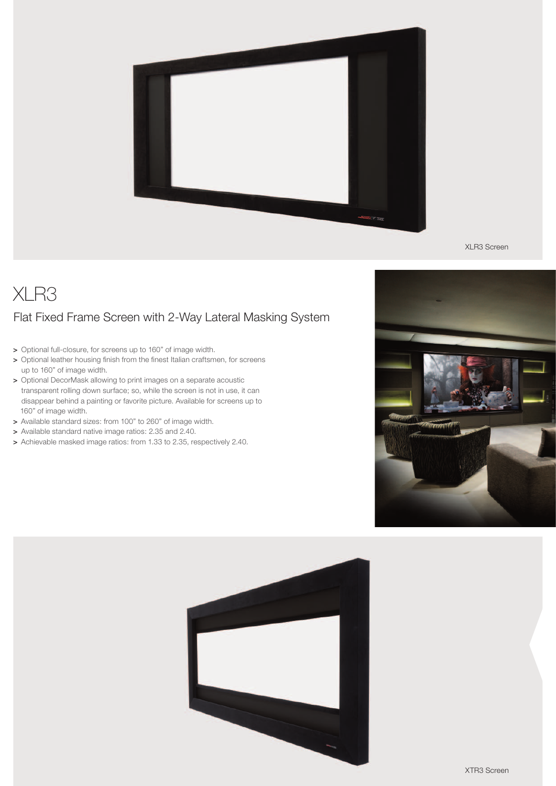

XLR3 Screen

# XLR3 Flat Fixed Frame Screen with 2-Way Lateral Masking System

- > Optional full-closure, for screens up to 160" of image width.
- > Optional leather housing finish from the finest Italian craftsmen, for screens up to 160" of image width.
- > Optional DecorMask allowing to print images on a separate acoustic transparent rolling down surface; so, while the screen is not in use, it can disappear behind a painting or favorite picture. Available for screens up to 160" of image width.
- > Available standard sizes: from 100" to 260" of image width.
- > Available standard native image ratios: 2.35 and 2.40.
- > Achievable masked image ratios: from 1.33 to 2.35, respectively 2.40.



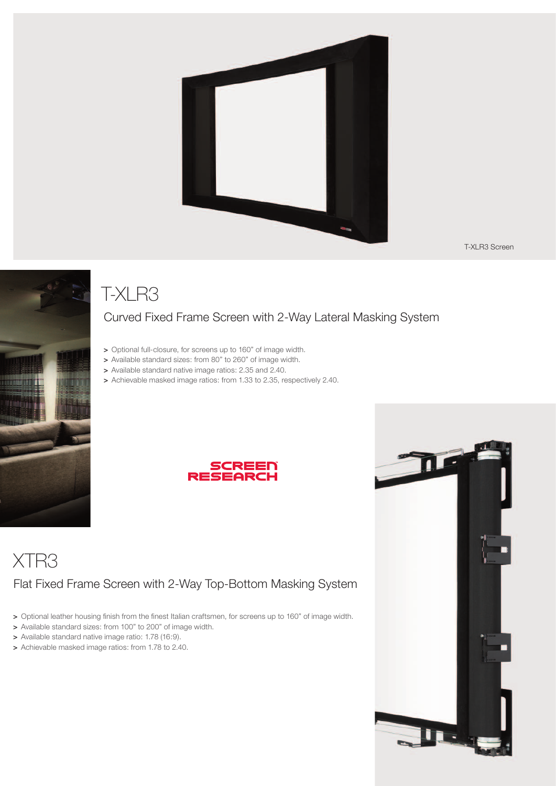

T-XLR3 Screen



# T-XLR3

#### Curved Fixed Frame Screen with 2-Way Lateral Masking System

- > Optional full-closure, for screens up to 160" of image width.
- > Available standard sizes: from 80" to 260" of image width.
- > Available standard native image ratios: 2.35 and 2.40.
- > Achievable masked image ratios: from 1.33 to 2.35, respectively 2.40.



# XTR3 Flat Fixed Frame Screen with 2-Way Top-Bottom Masking System

- > Optional leather housing finish from the finest Italian craftsmen, for screens up to 160" of image width.
- > Available standard sizes: from 100" to 200" of image width.
- > Available standard native image ratio: 1.78 (16:9).
- > Achievable masked image ratios: from 1.78 to 2.40.

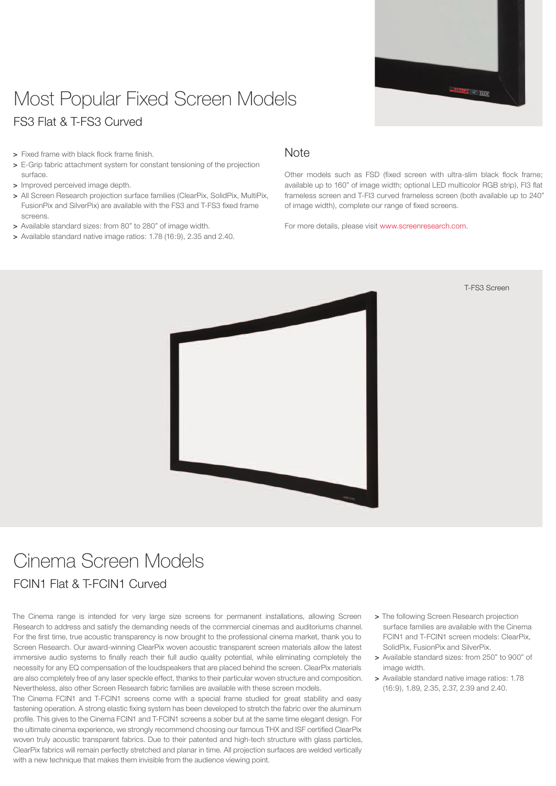

## Most Popular Fixed Screen Models FS3 Flat & T-FS3 Curved

- > Fixed frame with black flock frame finish.
- > E-Grip fabric attachment system for constant tensioning of the projection surface.
- > Improved perceived image depth.
- > All Screen Research projection surface families (ClearPix, SolidPix, MultiPix, FusionPix and SilverPix) are available with the FS3 and T-FS3 fixed frame screens.
- > Available standard sizes: from 80" to 280" of image width.
- > Available standard native image ratios: 1.78 (16:9), 2.35 and 2.40.

#### **Note**

Other models such as FSD (fixed screen with ultra-slim black flock frame; available up to 160" of image width; optional LED multicolor RGB strip), FI3 flat frameless screen and T-FI3 curved frameless screen (both available up to 240" of image width), complete our range of fixed screens.

For more details, please visit www.screenresearch.com.



T-FS3 Screen

# Cinema Screen Models

#### FCIN1 Flat & T-FCIN1 Curved

The Cinema range is intended for very large size screens for permanent installations, allowing Screen Research to address and satisfy the demanding needs of the commercial cinemas and auditoriums channel. For the first time, true acoustic transparency is now brought to the professional cinema market, thank you to Screen Research. Our award-winning ClearPix woven acoustic transparent screen materials allow the latest immersive audio systems to finally reach their full audio quality potential, while eliminating completely the necessity for any EQ compensation of the loudspeakers that are placed behind the screen. ClearPix materials are also completely free of any laser speckle effect, thanks to their particular woven structure and composition. Nevertheless, also other Screen Research fabric families are available with these screen models.

The Cinema FCIN1 and T-FCIN1 screens come with a special frame studied for great stability and easy fastening operation. A strong elastic fixing system has been developed to stretch the fabric over the aluminum profile. This gives to the Cinema FCIN1 and T-FCIN1 screens a sober but at the same time elegant design. For the ultimate cinema experience, we strongly recommend choosing our famous THX and ISF certified ClearPix woven truly acoustic transparent fabrics. Due to their patented and high-tech structure with glass particles, ClearPix fabrics will remain perfectly stretched and planar in time. All projection surfaces are welded vertically with a new technique that makes them invisible from the audience viewing point.

- > The following Screen Research projection surface families are available with the Cinema FCIN1 and T-FCIN1 screen models: ClearPix, SolidPix, FusionPix and SilverPix.
- > Available standard sizes: from 250" to 900" of image width.
- > Available standard native image ratios: 1.78 (16:9), 1.89, 2.35, 2.37, 2.39 and 2.40.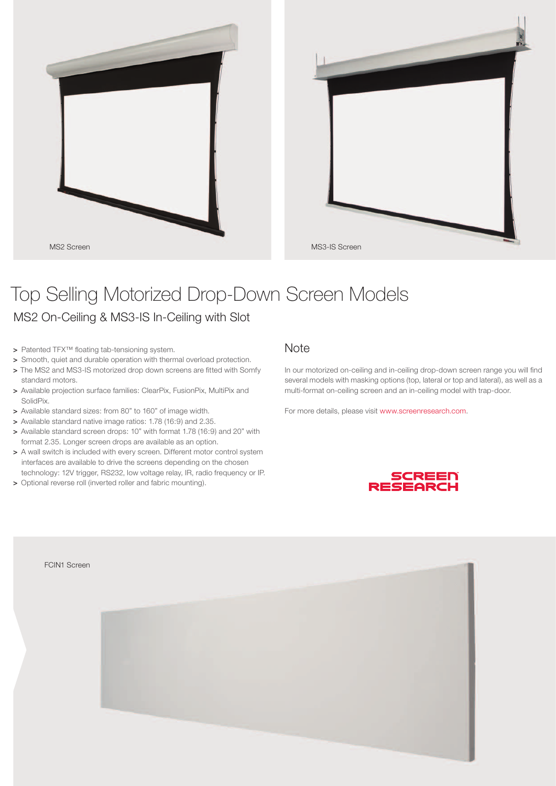



# Top Selling Motorized Drop-Down Screen Models

MS2 On-Ceiling & MS3-IS In-Ceiling with Slot

- > Patented TFX™ floating tab-tensioning system.
- > Smooth, quiet and durable operation with thermal overload protection.
- > The MS2 and MS3-IS motorized drop down screens are fitted with Somfy standard motors.
- > Available projection surface families: ClearPix, FusionPix, MultiPix and SolidPix.
- > Available standard sizes: from 80" to 160" of image width.
- > Available standard native image ratios: 1.78 (16:9) and 2.35.
- > Available standard screen drops: 10" with format 1.78 (16:9) and 20" with format 2.35. Longer screen drops are available as an option.
- > A wall switch is included with every screen. Different motor control system interfaces are available to drive the screens depending on the chosen technology: 12V trigger, RS232, low voltage relay, IR, radio frequency or IP.
- > Optional reverse roll (inverted roller and fabric mounting).

#### **Note**

In our motorized on-ceiling and in-ceiling drop-down screen range you will find several models with masking options (top, lateral or top and lateral), as well as a multi-format on-ceiling screen and an in-ceiling model with trap-door.

For more details, please visit www.screenresearch.com.